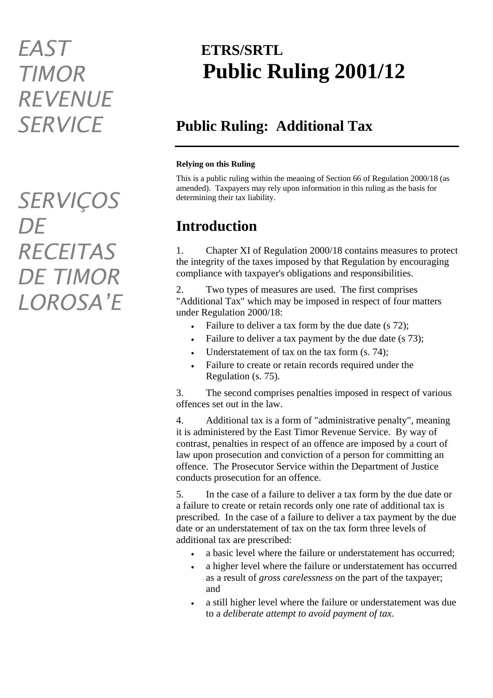## *EAST TIMOR REVENUE SERVICE*

*SERVIÇOS DE RECEITAS DE TIMOR LOROSA'E*

## **ETRS/SRTL Public Ruling 2001/12**

## **Public Ruling: Additional Tax**

#### **Relying on this Ruling**

This is a public ruling within the meaning of Section 66 of Regulation 2000/18 (as amended). Taxpayers may rely upon information in this ruling as the basis for determining their tax liability.

### **Introduction**

1. Chapter XI of Regulation 2000/18 contains measures to protect the integrity of the taxes imposed by that Regulation by encouraging compliance with taxpayer's obligations and responsibilities.

2. Two types of measures are used. The first comprises "Additional Tax" which may be imposed in respect of four matters under Regulation 2000/18:

- Failure to deliver a tax form by the due date (s 72);
- Failure to deliver a tax payment by the due date (s 73);
- Understatement of tax on the tax form  $(s, 74)$ ;
- Failure to create or retain records required under the Regulation (s. 75).

3. The second comprises penalties imposed in respect of various offences set out in the law.

4. Additional tax is a form of "administrative penalty", meaning it is administered by the East Timor Revenue Service. By way of contrast, penalties in respect of an offence are imposed by a court of law upon prosecution and conviction of a person for committing an offence. The Prosecutor Service within the Department of Justice conducts prosecution for an offence.

5. In the case of a failure to deliver a tax form by the due date or a failure to create or retain records only one rate of additional tax is prescribed. In the case of a failure to deliver a tax payment by the due date or an understatement of tax on the tax form three levels of additional tax are prescribed:

- a basic level where the failure or understatement has occurred;
- a higher level where the failure or understatement has occurred as a result of *gross carelessness* on the part of the taxpayer; and
- a still higher level where the failure or understatement was due to a *deliberate attempt to avoid payment of tax*.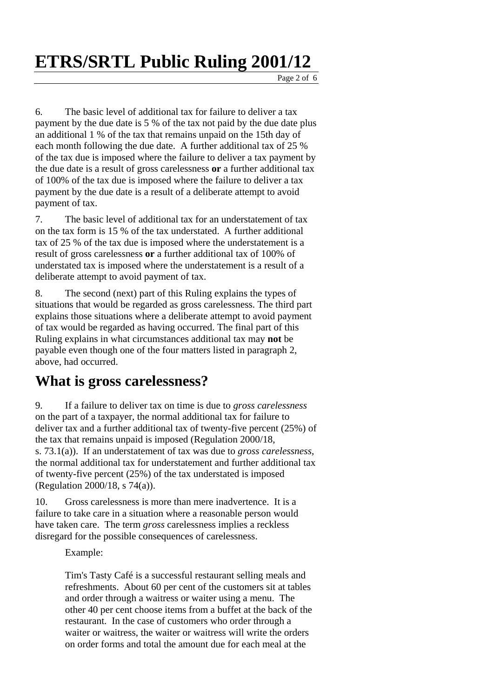6. The basic level of additional tax for failure to deliver a tax payment by the due date is 5 % of the tax not paid by the due date plus an additional 1 % of the tax that remains unpaid on the 15th day of each month following the due date. A further additional tax of 25 % of the tax due is imposed where the failure to deliver a tax payment by the due date is a result of gross carelessness **or** a further additional tax of 100% of the tax due is imposed where the failure to deliver a tax payment by the due date is a result of a deliberate attempt to avoid payment of tax.

7. The basic level of additional tax for an understatement of tax on the tax form is 15 % of the tax understated. A further additional tax of 25 % of the tax due is imposed where the understatement is a result of gross carelessness **or** a further additional tax of 100% of understated tax is imposed where the understatement is a result of a deliberate attempt to avoid payment of tax.

8. The second (next) part of this Ruling explains the types of situations that would be regarded as gross carelessness. The third part explains those situations where a deliberate attempt to avoid payment of tax would be regarded as having occurred. The final part of this Ruling explains in what circumstances additional tax may **not** be payable even though one of the four matters listed in paragraph 2, above, had occurred.

#### **What is gross carelessness?**

9. If a failure to deliver tax on time is due to *gross carelessness*  on the part of a taxpayer, the normal additional tax for failure to deliver tax and a further additional tax of twenty-five percent (25%) of the tax that remains unpaid is imposed (Regulation 2000/18, s. 73.1(a)). If an understatement of tax was due to *gross carelessness*, the normal additional tax for understatement and further additional tax of twenty-five percent (25%) of the tax understated is imposed (Regulation 2000/18, s 74(a)).

10. Gross carelessness is more than mere inadvertence. It is a failure to take care in a situation where a reasonable person would have taken care. The term *gross* carelessness implies a reckless disregard for the possible consequences of carelessness.

Example:

Tim's Tasty Café is a successful restaurant selling meals and refreshments. About 60 per cent of the customers sit at tables and order through a waitress or waiter using a menu. The other 40 per cent choose items from a buffet at the back of the restaurant. In the case of customers who order through a waiter or waitress, the waiter or waitress will write the orders on order forms and total the amount due for each meal at the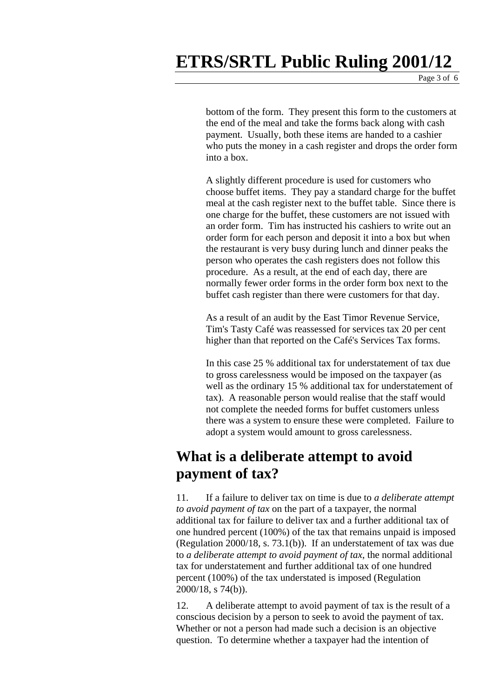bottom of the form. They present this form to the customers at the end of the meal and take the forms back along with cash payment. Usually, both these items are handed to a cashier who puts the money in a cash register and drops the order form into a box.

A slightly different procedure is used for customers who choose buffet items. They pay a standard charge for the buffet meal at the cash register next to the buffet table. Since there is one charge for the buffet, these customers are not issued with an order form. Tim has instructed his cashiers to write out an order form for each person and deposit it into a box but when the restaurant is very busy during lunch and dinner peaks the person who operates the cash registers does not follow this procedure. As a result, at the end of each day, there are normally fewer order forms in the order form box next to the buffet cash register than there were customers for that day.

As a result of an audit by the East Timor Revenue Service, Tim's Tasty Café was reassessed for services tax 20 per cent higher than that reported on the Café's Services Tax forms.

In this case 25 % additional tax for understatement of tax due to gross carelessness would be imposed on the taxpayer (as well as the ordinary 15 % additional tax for understatement of tax). A reasonable person would realise that the staff would not complete the needed forms for buffet customers unless there was a system to ensure these were completed. Failure to adopt a system would amount to gross carelessness.

### **What is a deliberate attempt to avoid payment of tax?**

11. If a failure to deliver tax on time is due to *a deliberate attempt to avoid payment of tax* on the part of a taxpayer, the normal additional tax for failure to deliver tax and a further additional tax of one hundred percent (100%) of the tax that remains unpaid is imposed (Regulation 2000/18, s. 73.1(b)). If an understatement of tax was due to *a deliberate attempt to avoid payment of tax*, the normal additional tax for understatement and further additional tax of one hundred percent (100%) of the tax understated is imposed (Regulation 2000/18, s 74(b)).

12. A deliberate attempt to avoid payment of tax is the result of a conscious decision by a person to seek to avoid the payment of tax. Whether or not a person had made such a decision is an objective question. To determine whether a taxpayer had the intention of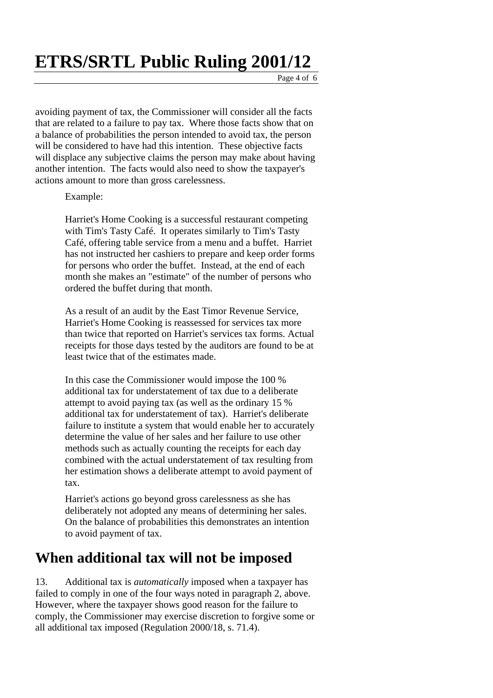**ETRS/SRTL Public Ruling 2001/12** 

avoiding payment of tax, the Commissioner will consider all the facts that are related to a failure to pay tax. Where those facts show that on a balance of probabilities the person intended to avoid tax, the person will be considered to have had this intention. These objective facts will displace any subjective claims the person may make about having another intention. The facts would also need to show the taxpayer's actions amount to more than gross carelessness.

Example:

Harriet's Home Cooking is a successful restaurant competing with Tim's Tasty Café. It operates similarly to Tim's Tasty Café, offering table service from a menu and a buffet. Harriet has not instructed her cashiers to prepare and keep order forms for persons who order the buffet. Instead, at the end of each month she makes an "estimate" of the number of persons who ordered the buffet during that month.

As a result of an audit by the East Timor Revenue Service, Harriet's Home Cooking is reassessed for services tax more than twice that reported on Harriet's services tax forms. Actual receipts for those days tested by the auditors are found to be at least twice that of the estimates made.

In this case the Commissioner would impose the 100 % additional tax for understatement of tax due to a deliberate attempt to avoid paying tax (as well as the ordinary 15 % additional tax for understatement of tax). Harriet's deliberate failure to institute a system that would enable her to accurately determine the value of her sales and her failure to use other methods such as actually counting the receipts for each day combined with the actual understatement of tax resulting from her estimation shows a deliberate attempt to avoid payment of tax.

Harriet's actions go beyond gross carelessness as she has deliberately not adopted any means of determining her sales. On the balance of probabilities this demonstrates an intention to avoid payment of tax.

#### **When additional tax will not be imposed**

13. Additional tax is *automatically* imposed when a taxpayer has failed to comply in one of the four ways noted in paragraph 2, above. However, where the taxpayer shows good reason for the failure to comply, the Commissioner may exercise discretion to forgive some or all additional tax imposed (Regulation 2000/18, s. 71.4).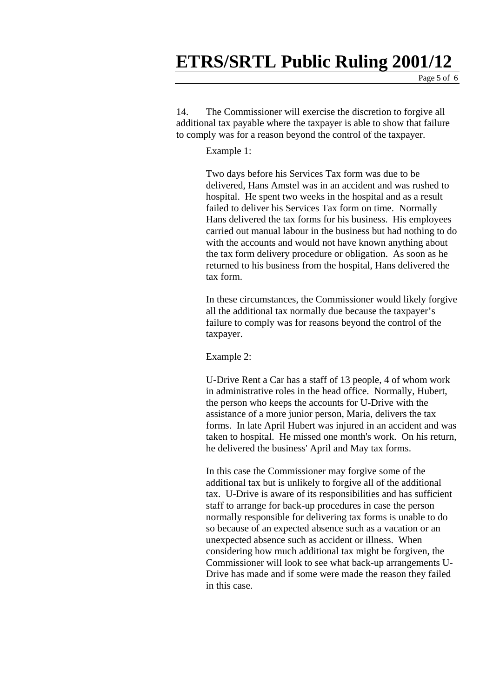# **ETRS/SRTL Public Ruling 2001/12**

14. The Commissioner will exercise the discretion to forgive all additional tax payable where the taxpayer is able to show that failure to comply was for a reason beyond the control of the taxpayer.

Example 1:

Two days before his Services Tax form was due to be delivered, Hans Amstel was in an accident and was rushed to hospital. He spent two weeks in the hospital and as a result failed to deliver his Services Tax form on time. Normally Hans delivered the tax forms for his business. His employees carried out manual labour in the business but had nothing to do with the accounts and would not have known anything about the tax form delivery procedure or obligation. As soon as he returned to his business from the hospital, Hans delivered the tax form.

In these circumstances, the Commissioner would likely forgive all the additional tax normally due because the taxpayer's failure to comply was for reasons beyond the control of the taxpayer.

Example 2:

U-Drive Rent a Car has a staff of 13 people, 4 of whom work in administrative roles in the head office. Normally, Hubert, the person who keeps the accounts for U-Drive with the assistance of a more junior person, Maria, delivers the tax forms. In late April Hubert was injured in an accident and was taken to hospital. He missed one month's work. On his return, he delivered the business' April and May tax forms.

In this case the Commissioner may forgive some of the additional tax but is unlikely to forgive all of the additional tax. U-Drive is aware of its responsibilities and has sufficient staff to arrange for back-up procedures in case the person normally responsible for delivering tax forms is unable to do so because of an expected absence such as a vacation or an unexpected absence such as accident or illness. When considering how much additional tax might be forgiven, the Commissioner will look to see what back-up arrangements U-Drive has made and if some were made the reason they failed in this case.